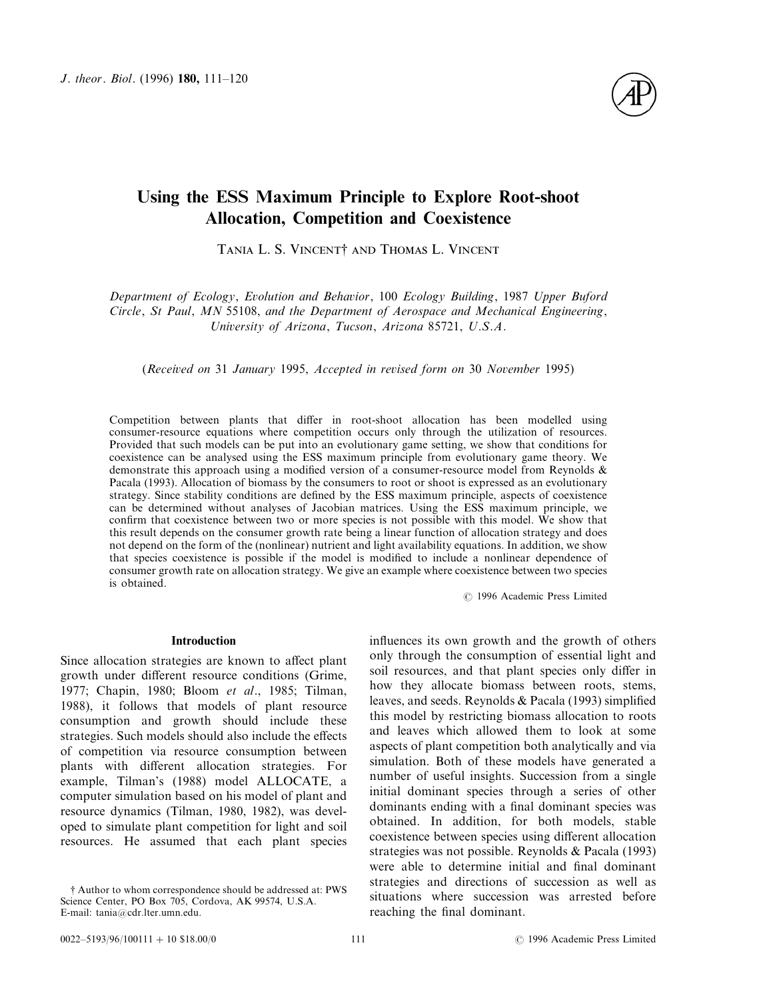

# Using the ESS Maximum Principle to Explore Root-shoot Allocation, Competition and Coexistence

TANIA L. S. VINCENT<sup>†</sup> AND THOMAS L. VINCENT

*Department of Ecology*, *Evolution and Behavior*, 100 *Ecology Building*, 1987 *Upper Buford Circle*, *St Paul*, *MN* 55108, *and the Department of Aerospace and Mechanical Engineering*, *University of Arizona*, *Tucson*, *Arizona* 85721, *U*.*S*.*A*.

(*Received on* 31 *January* 1995, *Accepted in revised form on* 30 *November* 1995)

Competition between plants that differ in root-shoot allocation has been modelled using consumer-resource equations where competition occurs only through the utilization of resources. Provided that such models can be put into an evolutionary game setting, we show that conditions for coexistence can be analysed using the ESS maximum principle from evolutionary game theory. We demonstrate this approach using a modified version of a consumer-resource model from Reynolds & Pacala (1993). Allocation of biomass by the consumers to root or shoot is expressed as an evolutionary strategy. Since stability conditions are defined by the ESS maximum principle, aspects of coexistence can be determined without analyses of Jacobian matrices. Using the ESS maximum principle, we confirm that coexistence between two or more species is not possible with this model. We show that this result depends on the consumer growth rate being a linear function of allocation strategy and does not depend on the form of the (nonlinear) nutrient and light availability equations. In addition, we show that species coexistence is possible if the model is modified to include a nonlinear dependence of consumer growth rate on allocation strategy. We give an example where coexistence between two species is obtained.

7 1996 Academic Press Limited

#### Introduction

Since allocation strategies are known to affect plant growth under different resource conditions (Grime, 1977; Chapin, 1980; Bloom *et al*., 1985; Tilman, 1988), it follows that models of plant resource consumption and growth should include these strategies. Such models should also include the effects of competition via resource consumption between plants with different allocation strategies. For example, Tilman's (1988) model ALLOCATE, a computer simulation based on his model of plant and resource dynamics (Tilman, 1980, 1982), was developed to simulate plant competition for light and soil resources. He assumed that each plant species influences its own growth and the growth of others only through the consumption of essential light and soil resources, and that plant species only differ in how they allocate biomass between roots, stems, leaves, and seeds. Reynolds & Pacala (1993) simplified this model by restricting biomass allocation to roots and leaves which allowed them to look at some aspects of plant competition both analytically and via simulation. Both of these models have generated a number of useful insights. Succession from a single initial dominant species through a series of other dominants ending with a final dominant species was obtained. In addition, for both models, stable coexistence between species using different allocation strategies was not possible. Reynolds & Pacala (1993) were able to determine initial and final dominant strategies and directions of succession as well as situations where succession was arrested before reaching the final dominant.

<sup>†</sup> Author to whom correspondence should be addressed at: PWS Science Center, PO Box 705, Cordova, AK 99574, U.S.A. E-mail: tania@cdr.lter.umn.edu.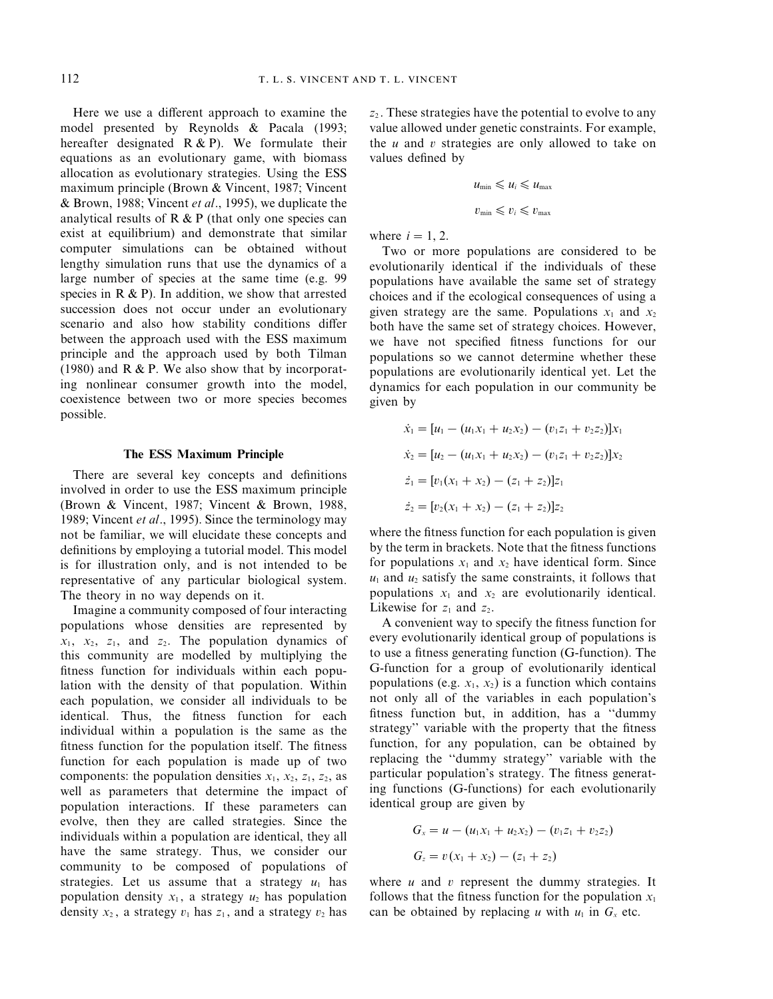Here we use a different approach to examine the model presented by Reynolds & Pacala (1993; hereafter designated  $R & P$ ). We formulate their equations as an evolutionary game, with biomass allocation as evolutionary strategies. Using the ESS maximum principle (Brown & Vincent, 1987; Vincent & Brown, 1988; Vincent *et al*., 1995), we duplicate the analytical results of  $R \& P$  (that only one species can exist at equilibrium) and demonstrate that similar computer simulations can be obtained without lengthy simulation runs that use the dynamics of a large number of species at the same time (e.g. 99 species in  $R \& P$ ). In addition, we show that arrested succession does not occur under an evolutionary scenario and also how stability conditions differ between the approach used with the ESS maximum principle and the approach used by both Tilman (1980) and  $R & P$ . We also show that by incorporating nonlinear consumer growth into the model, coexistence between two or more species becomes possible.

## The ESS Maximum Principle

There are several key concepts and definitions involved in order to use the ESS maximum principle (Brown & Vincent, 1987; Vincent & Brown, 1988, 1989; Vincent *et al*., 1995). Since the terminology may not be familiar, we will elucidate these concepts and definitions by employing a tutorial model. This model is for illustration only, and is not intended to be representative of any particular biological system. The theory in no way depends on it.

Imagine a community composed of four interacting populations whose densities are represented by  $x_1$ ,  $x_2$ ,  $z_1$ , and  $z_2$ . The population dynamics of this community are modelled by multiplying the fitness function for individuals within each population with the density of that population. Within each population, we consider all individuals to be identical. Thus, the fitness function for each individual within a population is the same as the fitness function for the population itself. The fitness function for each population is made up of two components: the population densities  $x_1$ ,  $x_2$ ,  $z_1$ ,  $z_2$ , as well as parameters that determine the impact of population interactions. If these parameters can evolve, then they are called strategies. Since the individuals within a population are identical, they all have the same strategy. Thus, we consider our community to be composed of populations of strategies. Let us assume that a strategy  $u_1$  has population density  $x_1$ , a strategy  $u_2$  has population density  $x_2$ , a strategy  $v_1$  has  $z_1$ , and a strategy  $v_2$  has *z*<sup>2</sup> . These strategies have the potential to evolve to any value allowed under genetic constraints. For example, the *u* and *v* strategies are only allowed to take on values defined by

$$
u_{\min} \leq u_i \leq u_{\max}
$$
  

$$
v_{\min} \leq v_i \leq v_{\max}
$$

where  $i=1, 2$ .

Two or more populations are considered to be evolutionarily identical if the individuals of these populations have available the same set of strategy choices and if the ecological consequences of using a given strategy are the same. Populations  $x_1$  and  $x_2$ both have the same set of strategy choices. However, we have not specified fitness functions for our populations so we cannot determine whether these populations are evolutionarily identical yet. Let the dynamics for each population in our community be given by

$$
\dot{x}_1 = [u_1 - (u_1x_1 + u_2x_2) - (v_1z_1 + v_2z_2)]x_1
$$
  
\n
$$
\dot{x}_2 = [u_2 - (u_1x_1 + u_2x_2) - (v_1z_1 + v_2z_2)]x_2
$$
  
\n
$$
\dot{z}_1 = [v_1(x_1 + x_2) - (z_1 + z_2)]z_1
$$
  
\n
$$
\dot{z}_2 = [v_2(x_1 + x_2) - (z_1 + z_2)]z_2
$$

where the fitness function for each population is given by the term in brackets. Note that the fitness functions for populations  $x_1$  and  $x_2$  have identical form. Since  $u_1$  and  $u_2$  satisfy the same constraints, it follows that populations  $x_1$  and  $x_2$  are evolutionarily identical. Likewise for  $z_1$  and  $z_2$ .

A convenient way to specify the fitness function for every evolutionarily identical group of populations is to use a fitness generating function (G-function). The G-function for a group of evolutionarily identical populations (e.g.  $x_1$ ,  $x_2$ ) is a function which contains not only all of the variables in each population's fitness function but, in addition, has a ''dummy strategy'' variable with the property that the fitness function, for any population, can be obtained by replacing the ''dummy strategy'' variable with the particular population's strategy. The fitness generating functions (G-functions) for each evolutionarily identical group are given by

$$
G_x = u - (u_1x_1 + u_2x_2) - (v_1z_1 + v_2z_2)
$$
  

$$
G_z = v(x_1 + x_2) - (z_1 + z_2)
$$

where  $u$  and  $v$  represent the dummy strategies. It follows that the fitness function for the population  $x_1$ can be obtained by replacing *u* with  $u_1$  in  $G_x$  etc.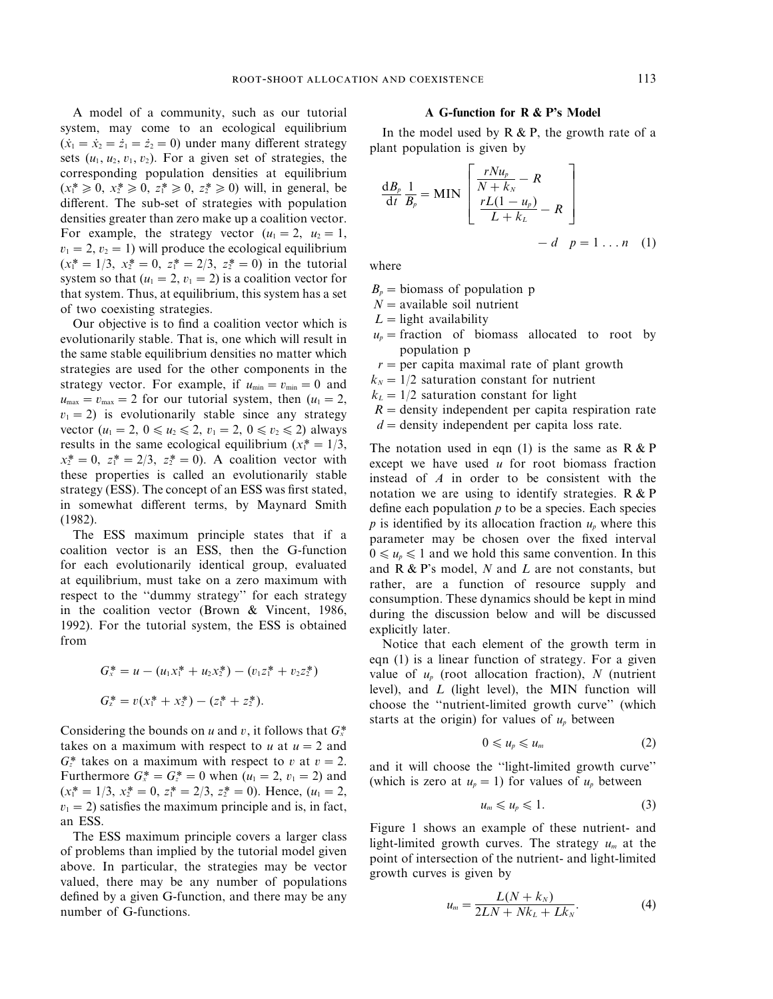A model of a community, such as our tutorial system, may come to an ecological equilibrium  $(\dot{x}_1 = \dot{x}_2 = \dot{z}_1 = \dot{z}_2 = 0)$  under many different strategy sets  $(u_1, u_2, v_1, v_2)$ . For a given set of strategies, the corresponding population densities at equilibrium  $(x_1^* \geq 0, x_2^* \geq 0, z_1^* \geq 0, z_2^* \geq 0)$  will, in general, be different. The sub-set of strategies with population densities greater than zero make up a coalition vector. For example, the strategy vector  $(u_1=2, u_2=1,$  $v_1=2, v_2=1$ ) will produce the ecological equilibrium  $(x_1^* = 1/3, x_2^* = 0, z_1^* = 2/3, z_2^* = 0)$  in the tutorial system so that  $(u_1=2, v_1=2)$  is a coalition vector for that system. Thus, at equilibrium, this system has a set of two coexisting strategies.

Our objective is to find a coalition vector which is evolutionarily stable. That is, one which will result in the same stable equilibrium densities no matter which strategies are used for the other components in the strategy vector. For example, if  $u_{\min} = v_{\min} = 0$  and  $u_{\text{max}}=v_{\text{max}}=2$  for our tutorial system, then ( $u_1=2$ ,  $v_1=2$ ) is evolutionarily stable since any strategy vector ( $u_1 = 2$ ,  $0 \le u_2 \le 2$ ,  $v_1 = 2$ ,  $0 \le v_2 \le 2$ ) always results in the same ecological equilibrium  $(x_1^* = 1/3,$  $x_2^* = 0$ ,  $z_1^* = 2/3$ ,  $z_2^* = 0$ ). A coalition vector with these properties is called an evolutionarily stable strategy (ESS). The concept of an ESS was first stated, in somewhat different terms, by Maynard Smith (1982).

The ESS maximum principle states that if a coalition vector is an ESS, then the G-function for each evolutionarily identical group, evaluated at equilibrium, must take on a zero maximum with respect to the ''dummy strategy'' for each strategy in the coalition vector (Brown & Vincent, 1986, 1992). For the tutorial system, the ESS is obtained from

$$
G_x^* = u - (u_1 x_1^* + u_2 x_2^*) - (v_1 z_1^* + v_2 z_2^*)
$$
  

$$
G_z^* = v(x_1^* + x_2^*) - (z_1^* + z_2^*).
$$

Considering the bounds on *u* and *v*, it follows that  $G_x^*$ takes on a maximum with respect to  $u$  at  $u = 2$  and  $G_z^*$  takes on a maximum with respect to *v* at  $v=2$ . Furthermore  $G_x^* = G_z^* = 0$  when  $(u_1 = 2, v_1 = 2)$  and  $(x_1^* = 1/3, x_2^* = 0, z_1^* = 2/3, z_2^* = 0)$ . Hence,  $(u_1 = 2,$  $v_1=2$ ) satisfies the maximum principle and is, in fact, an ESS.

The ESS maximum principle covers a larger class of problems than implied by the tutorial model given above. In particular, the strategies may be vector valued, there may be any number of populations defined by a given G-function, and there may be any number of G-functions.

# A G-function for R & P's Model

In the model used by  $R \& P$ , the growth rate of a plant population is given by

$$
\frac{dB_p}{dt} \frac{1}{B_p} = MIN \begin{bmatrix} \frac{rNu_p}{N+k_N} - R \\ \frac{rL(1-u_p)}{L+k_L} - R \end{bmatrix}
$$

$$
- d \quad p = 1 ... n \quad (1)
$$

where

- $B_p =$  biomass of population p
- *N*=available soil nutrient
- $L =$ light availability
- $u_p$  = fraction of biomass allocated to root by population p
- $r =$  per capita maximal rate of plant growth
- $k_N = 1/2$  saturation constant for nutrient
- $k_L = 1/2$  saturation constant for light
- $R =$  density independent per capita respiration rate
- $d =$  density independent per capita loss rate.

The notation used in eqn (1) is the same as  $R & P$ except we have used *u* for root biomass fraction instead of *A* in order to be consistent with the notation we are using to identify strategies. R & P define each population *p* to be a species. Each species  $p$  is identified by its allocation fraction  $u_p$  where this parameter may be chosen over the fixed interval  $0 \le u_p \le 1$  and we hold this same convention. In this and R & P's model, *N* and *L* are not constants, but rather, are a function of resource supply and consumption. These dynamics should be kept in mind during the discussion below and will be discussed explicitly later.

Notice that each element of the growth term in eqn (1) is a linear function of strategy. For a given value of *up* (root allocation fraction), *N* (nutrient level), and *L* (light level), the MIN function will choose the ''nutrient-limited growth curve'' (which starts at the origin) for values of  $u_p$  between

$$
0\leqslant u_p\leqslant u_m\qquad \qquad (2)
$$

and it will choose the ''light-limited growth curve'' (which is zero at  $u_p = 1$ ) for values of  $u_p$  between

$$
u_m \leqslant u_p \leqslant 1. \tag{3}
$$

Figure 1 shows an example of these nutrient- and light-limited growth curves. The strategy *um* at the point of intersection of the nutrient- and light-limited growth curves is given by

$$
u_m = \frac{L(N + k_N)}{2LN + Nk_L + Lk_N}.\tag{4}
$$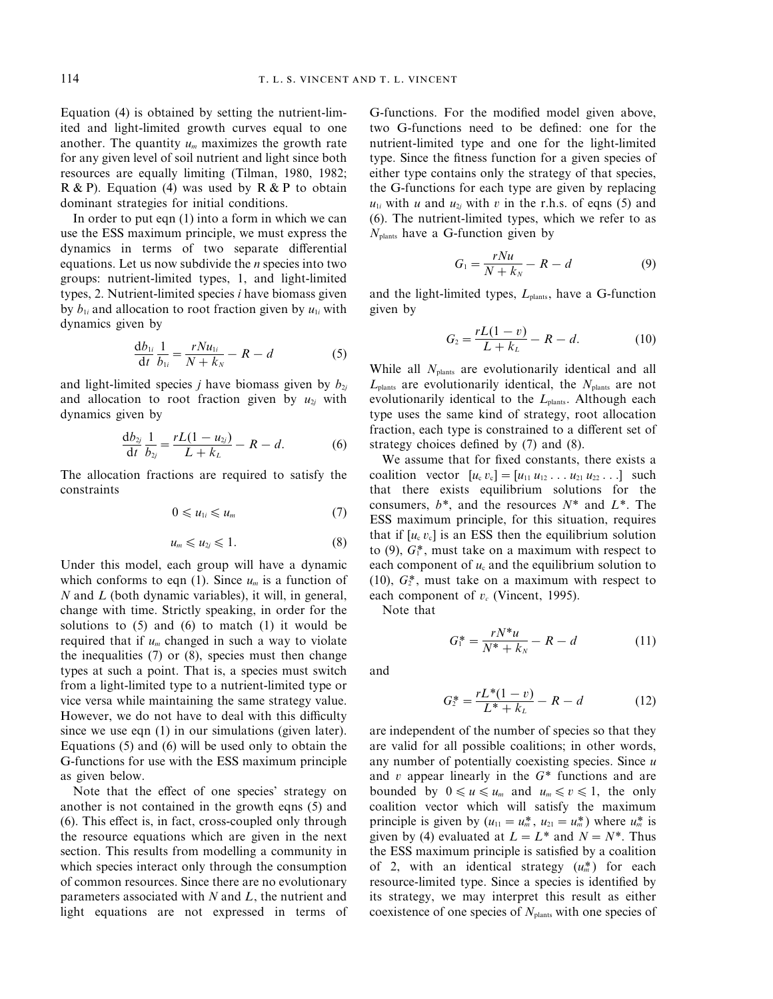Equation (4) is obtained by setting the nutrient-limited and light-limited growth curves equal to one another. The quantity  $u_m$  maximizes the growth rate for any given level of soil nutrient and light since both resources are equally limiting (Tilman, 1980, 1982;  $R & P$ ). Equation (4) was used by  $R & P$  to obtain dominant strategies for initial conditions.

In order to put eqn (1) into a form in which we can use the ESS maximum principle, we must express the dynamics in terms of two separate differential equations. Let us now subdivide the *n* species into two groups: nutrient-limited types, 1, and light-limited types, 2. Nutrient-limited species *i* have biomass given by  $b_{1i}$  and allocation to root fraction given by  $u_{1i}$  with dynamics given by

$$
\frac{d b_{1i}}{dt} \frac{1}{b_{1i}} = \frac{r N u_{1i}}{N + k_N} - R - d \tag{5}
$$

and light-limited species *j* have biomass given by  $b_{2j}$ and allocation to root fraction given by  $u_{2j}$  with dynamics given by

$$
\frac{d b_{2j}}{dt} \frac{1}{b_{2j}} = \frac{rL(1 - u_{2j})}{L + k_L} - R - d.
$$
 (6)

The allocation fractions are required to satisfy the constraints

$$
0\leqslant u_{1i}\leqslant u_m\qquad \qquad (7)
$$

$$
u_m \leqslant u_{2j} \leqslant 1. \tag{8}
$$

Under this model, each group will have a dynamic which conforms to eqn (1). Since  $u_m$  is a function of *N* and *L* (both dynamic variables), it will, in general, change with time. Strictly speaking, in order for the solutions to  $(5)$  and  $(6)$  to match  $(1)$  it would be required that if  $u_m$  changed in such a way to violate the inequalities (7) or (8), species must then change types at such a point. That is, a species must switch from a light-limited type to a nutrient-limited type or vice versa while maintaining the same strategy value. However, we do not have to deal with this difficulty since we use eqn (1) in our simulations (given later). Equations (5) and (6) will be used only to obtain the G-functions for use with the ESS maximum principle as given below.

Note that the effect of one species' strategy on another is not contained in the growth eqns (5) and (6). This effect is, in fact, cross-coupled only through the resource equations which are given in the next section. This results from modelling a community in which species interact only through the consumption of common resources. Since there are no evolutionary parameters associated with *N* and *L*, the nutrient and light equations are not expressed in terms of

G-functions. For the modified model given above, two G-functions need to be defined: one for the nutrient-limited type and one for the light-limited type. Since the fitness function for a given species of either type contains only the strategy of that species, the G-functions for each type are given by replacing  $u_{1i}$  with *u* and  $u_{2i}$  with *v* in the r.h.s. of eqns (5) and (6). The nutrient-limited types, which we refer to as *N*plants have a G-function given by

$$
G_1 = \frac{rNu}{N + k_N} - R - d \tag{9}
$$

and the light-limited types,  $L_{\text{plants}}$ , have a G-function given by

$$
G_2 = \frac{rL(1-v)}{L+k_L} - R - d. \tag{10}
$$

While all *N*<sub>plants</sub> are evolutionarily identical and all *L*plants are evolutionarily identical, the *N*plants are not evolutionarily identical to the *L*<sub>plants</sub>. Although each type uses the same kind of strategy, root allocation fraction, each type is constrained to a different set of strategy choices defined by (7) and (8).

We assume that for fixed constants, there exists a coalition vector  $[u_c v_c] = [u_{11} u_{12} ... u_{21} u_{22} ...]$  such that there exists equilibrium solutions for the consumers, *b*\*, and the resources *N*\* and *L*\*. The ESS maximum principle, for this situation, requires that if  $[u, v_c]$  is an ESS then the equilibrium solution to  $(9)$ ,  $G_1^*$ , must take on a maximum with respect to each component of  $u_c$  and the equilibrium solution to  $(10)$ ,  $G_2^*$ , must take on a maximum with respect to each component of  $v_c$  (Vincent, 1995).

Note that

$$
G_1^* = \frac{rN^*u}{N^* + k_N} - R - d \tag{11}
$$

and

$$
G_2^* = \frac{rL^*(1-v)}{L^* + k_L} - R - d \tag{12}
$$

are independent of the number of species so that they are valid for all possible coalitions; in other words, any number of potentially coexisting species. Since *u* and *v* appear linearly in the *G*\* functions and are bounded by  $0 \le u \le u_m$  and  $u_m \le v \le 1$ , the only coalition vector which will satisfy the maximum principle is given by  $(u_{11} = u_m^*, u_{21} = u_m^*)$  where  $u_m^*$  is given by (4) evaluated at  $L = L^*$  and  $N = N^*$ . Thus the ESS maximum principle is satisfied by a coalition of 2, with an identical strategy  $(u_m^*)$  for each resource-limited type. Since a species is identified by its strategy, we may interpret this result as either coexistence of one species of *N*plants with one species of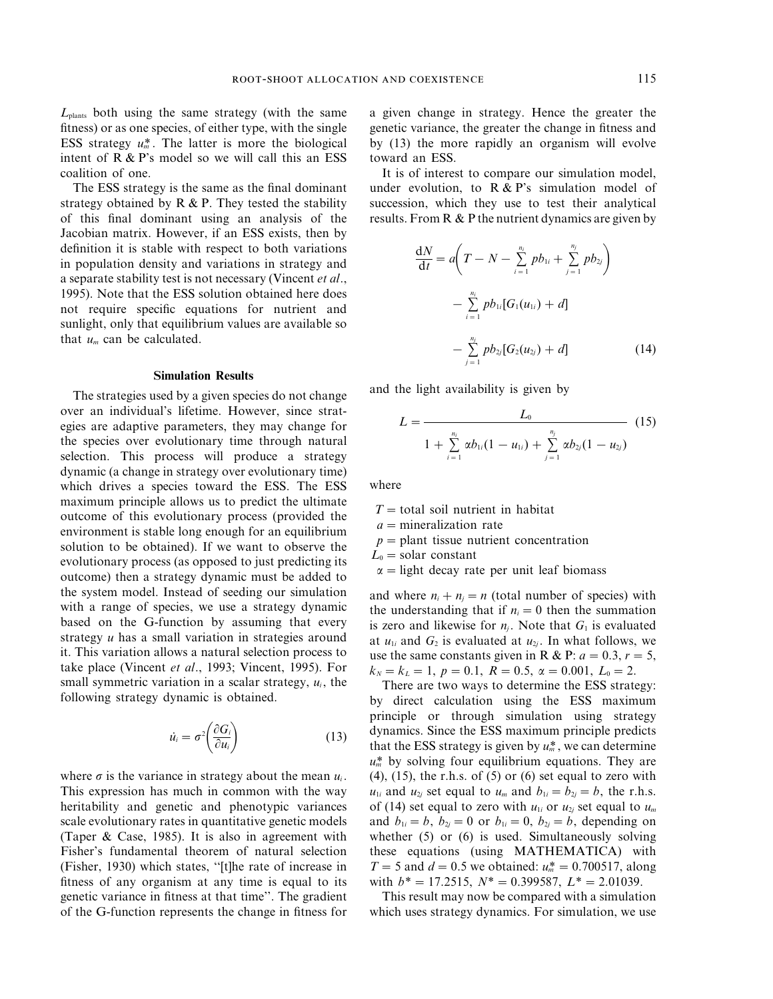*L*plants both using the same strategy (with the same fitness) or as one species, of either type, with the single ESS strategy  $u_m^*$ . The latter is more the biological intent of R & P's model so we will call this an ESS coalition of one.

The ESS strategy is the same as the final dominant strategy obtained by  $R \& P$ . They tested the stability of this final dominant using an analysis of the Jacobian matrix. However, if an ESS exists, then by definition it is stable with respect to both variations in population density and variations in strategy and a separate stability test is not necessary (Vincent *et al*., 1995). Note that the ESS solution obtained here does not require specific equations for nutrient and sunlight, only that equilibrium values are available so that *um* can be calculated.

#### Simulation Results

The strategies used by a given species do not change over an individual's lifetime. However, since strategies are adaptive parameters, they may change for the species over evolutionary time through natural selection. This process will produce a strategy dynamic (a change in strategy over evolutionary time) which drives a species toward the ESS. The ESS maximum principle allows us to predict the ultimate outcome of this evolutionary process (provided the environment is stable long enough for an equilibrium solution to be obtained). If we want to observe the evolutionary process (as opposed to just predicting its outcome) then a strategy dynamic must be added to the system model. Instead of seeding our simulation with a range of species, we use a strategy dynamic based on the G-function by assuming that every strategy *u* has a small variation in strategies around it. This variation allows a natural selection process to take place (Vincent *et al*., 1993; Vincent, 1995). For small symmetric variation in a scalar strategy,  $u_i$ , the following strategy dynamic is obtained.

$$
\dot{u}_i = \sigma^2 \left( \frac{\partial G_i}{\partial u_i} \right) \tag{13}
$$

where  $\sigma$  is the variance in strategy about the mean  $u_i$ . This expression has much in common with the way heritability and genetic and phenotypic variances scale evolutionary rates in quantitative genetic models (Taper & Case, 1985). It is also in agreement with Fisher's fundamental theorem of natural selection (Fisher, 1930) which states, ''[t]he rate of increase in fitness of any organism at any time is equal to its genetic variance in fitness at that time''. The gradient of the G-function represents the change in fitness for a given change in strategy. Hence the greater the genetic variance, the greater the change in fitness and by (13) the more rapidly an organism will evolve toward an ESS.

It is of interest to compare our simulation model, under evolution, to  $R & P$ 's simulation model of succession, which they use to test their analytical results. From  $R \& P$  the nutrient dynamics are given by

$$
\frac{dN}{dt} = a\left(T - N - \sum_{i=1}^{n_i} pb_{1i} + \sum_{j=1}^{n_j} pb_{2j}\right)
$$

$$
- \sum_{i=1}^{n_i} pb_{1i}[G_1(u_{1i}) + d]
$$

$$
- \sum_{j=1}^{n_j} pb_{2j}[G_2(u_{2j}) + d] \qquad (14)
$$

and the light availability is given by

$$
L = \frac{L_0}{1 + \sum_{i=1}^{n_i} \alpha b_{1i} (1 - u_{1i}) + \sum_{j=1}^{n_j} \alpha b_{2j} (1 - u_{2j})}
$$
(15)

where

 $T =$ total soil nutrient in habitat

 $a =$ mineralization rate

- $p =$ plant tissue nutrient concentration
- $L_0$  = solar constant
- $\alpha$  = light decay rate per unit leaf biomass

and where  $n_i + n_j = n$  (total number of species) with the understanding that if  $n_i = 0$  then the summation is zero and likewise for  $n_i$ . Note that  $G_1$  is evaluated at  $u_{1i}$  and  $G_2$  is evaluated at  $u_{2i}$ . In what follows, we use the same constants given in R & P:  $a = 0.3$ ,  $r = 5$ ,  $k_N = k_L = 1$ ,  $p = 0.1$ ,  $R = 0.5$ ,  $\alpha = 0.001$ ,  $L_0 = 2$ .

There are two ways to determine the ESS strategy: by direct calculation using the ESS maximum principle or through simulation using strategy dynamics. Since the ESS maximum principle predicts that the ESS strategy is given by  $u_m^*$ , we can determine  $u_m^*$  by solving four equilibrium equations. They are  $(4)$ ,  $(15)$ , the r.h.s. of  $(5)$  or  $(6)$  set equal to zero with  $u_{1i}$  and  $u_{2i}$  set equal to  $u_m$  and  $b_{1i} = b_{2i} = b$ , the r.h.s. of (14) set equal to zero with  $u_{1i}$  or  $u_{2j}$  set equal to  $u_m$ and  $b_{1i} = b$ ,  $b_{2i} = 0$  or  $b_{1i} = 0$ ,  $b_{2i} = b$ , depending on whether (5) or (6) is used. Simultaneously solving these equations (using MATHEMATICA) with *T* = 5 and *d* = 0.5 we obtained:  $u_m^* = 0.700517$ , along with  $b^* = 17.2515$ ,  $N^* = 0.399587$ ,  $L^* = 2.01039$ .

This result may now be compared with a simulation which uses strategy dynamics. For simulation, we use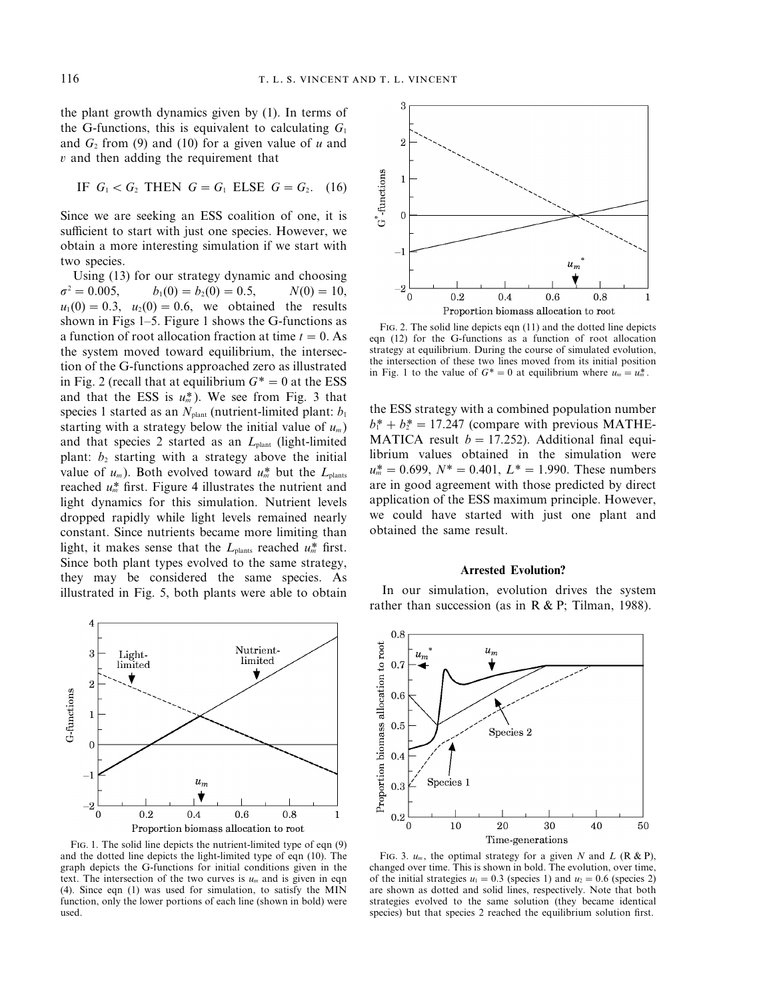the plant growth dynamics given by (1). In terms of the G-functions, this is equivalent to calculating  $G_1$ and  $G_2$  from (9) and (10) for a given value of  $u$  and *v* and then adding the requirement that

IF 
$$
G_1 < G_2
$$
 THEN  $G = G_1$  ELSE  $G = G_2$ . (16)

Since we are seeking an ESS coalition of one, it is sufficient to start with just one species. However, we obtain a more interesting simulation if we start with two species.

Using (13) for our strategy dynamic and choosing  $\sigma^2 = 0.005$ ,  $b_1(0) = b_2(0) = 0.5$ ,  $N(0) = 10$ ,  $u_1(0) = 0.3$ ,  $u_2(0) = 0.6$ , we obtained the results shown in Figs 1–5. Figure 1 shows the G-functions as a function of root allocation fraction at time  $t = 0$ . As the system moved toward equilibrium, the intersection of the G-functions approached zero as illustrated in Fig. 2 (recall that at equilibrium  $G^* = 0$  at the ESS and that the ESS is  $u_m^*$ ). We see from Fig. 3 that species 1 started as an  $N_{\text{plant}}$  (nutrient-limited plant:  $b_1$ ) starting with a strategy below the initial value of  $u_m$ ) and that species 2 started as an *L*<sub>plant</sub> (light-limited plant:  $b_2$  starting with a strategy above the initial value of  $u_m$ ). Both evolved toward  $u_m^*$  but the  $L_{\text{plants}}$ reached  $u_m^*$  first. Figure 4 illustrates the nutrient and light dynamics for this simulation. Nutrient levels dropped rapidly while light levels remained nearly constant. Since nutrients became more limiting than light, it makes sense that the  $L_{\text{plants}}$  reached  $u_m^*$  first. Since both plant types evolved to the same strategy, they may be considered the same species. As illustrated in Fig. 5, both plants were able to obtain



FIG. 1. The solid line depicts the nutrient-limited type of eqn (9) and the dotted line depicts the light-limited type of eqn (10). The graph depicts the G-functions for initial conditions given in the text. The intersection of the two curves is  $u_m$  and is given in eqn (4). Since eqn (1) was used for simulation, to satisfy the MIN function, only the lower portions of each line (shown in bold) were used.



FIG. 2. The solid line depicts eqn (11) and the dotted line depicts eqn (12) for the G-functions as a function of root allocation strategy at equilibrium. During the course of simulated evolution, the intersection of these two lines moved from its initial position in Fig. 1 to the value of  $G^* = 0$  at equilibrium where  $u_m = u_m^*$ .

the ESS strategy with a combined population number  $b_1^* + b_2^* = 17.247$  (compare with previous MATHE-MATICA result  $b = 17.252$ ). Additional final equilibrium values obtained in the simulation were  $u_m^* = 0.699$ ,  $N^* = 0.401$ ,  $L^* = 1.990$ . These numbers are in good agreement with those predicted by direct application of the ESS maximum principle. However, we could have started with just one plant and obtained the same result.

# Arrested Evolution?

In our simulation, evolution drives the system rather than succession (as in R  $&$  P; Tilman, 1988).



FIG. 3.  $u_m$ , the optimal strategy for a given *N* and *L* (R & P), changed over time. This is shown in bold. The evolution, over time, of the initial strategies  $u_1=0.3$  (species 1) and  $u_2=0.6$  (species 2) are shown as dotted and solid lines, respectively. Note that both strategies evolved to the same solution (they became identical species) but that species 2 reached the equilibrium solution first.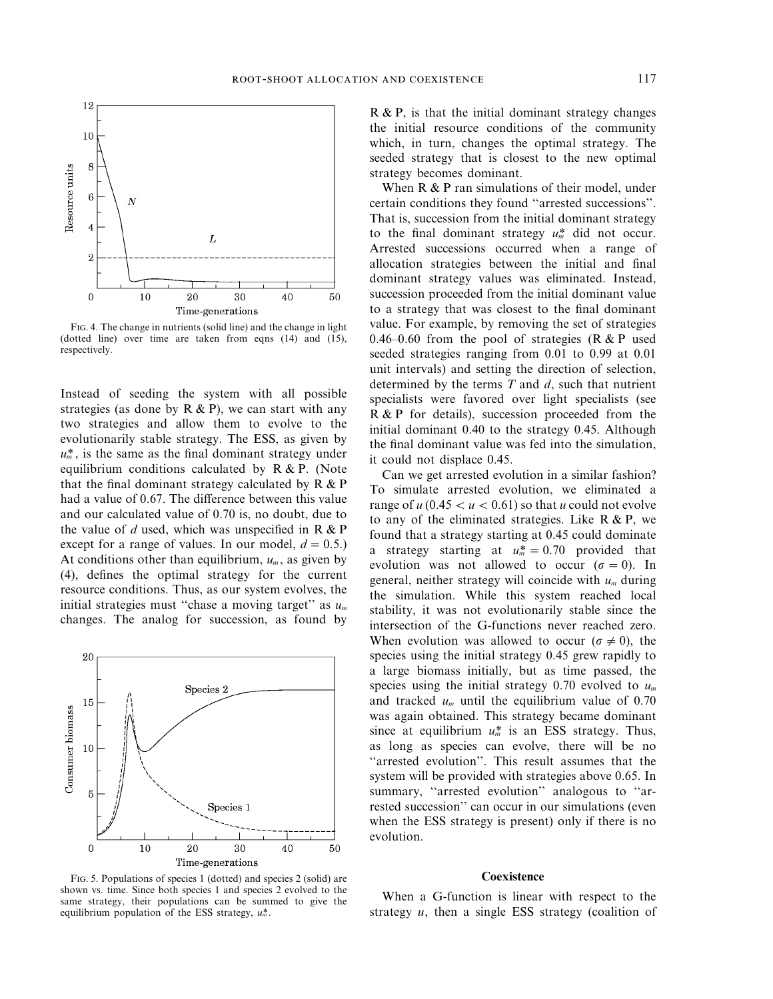

FIG. 4. The change in nutrients (solid line) and the change in light (dotted line) over time are taken from eqns (14) and (15), respectively.

Instead of seeding the system with all possible strategies (as done by  $R \& P$ ), we can start with any two strategies and allow them to evolve to the evolutionarily stable strategy. The ESS, as given by  $u_m^*$ , is the same as the final dominant strategy under equilibrium conditions calculated by R & P. (Note that the final dominant strategy calculated by R & P had a value of 0.67. The difference between this value and our calculated value of 0.70 is, no doubt, due to the value of *d* used, which was unspecified in R & P except for a range of values. In our model,  $d = 0.5$ .) At conditions other than equilibrium,  $u_m$ , as given by (4), defines the optimal strategy for the current resource conditions. Thus, as our system evolves, the initial strategies must ''chase a moving target'' as *um* changes. The analog for succession, as found by



R & P, is that the initial dominant strategy changes the initial resource conditions of the community which, in turn, changes the optimal strategy. The seeded strategy that is closest to the new optimal strategy becomes dominant.

When R & P ran simulations of their model, under certain conditions they found ''arrested successions''. That is, succession from the initial dominant strategy to the final dominant strategy  $u_m^*$  did not occur. Arrested successions occurred when a range of allocation strategies between the initial and final dominant strategy values was eliminated. Instead, succession proceeded from the initial dominant value to a strategy that was closest to the final dominant value. For example, by removing the set of strategies 0.46–0.60 from the pool of strategies ( $R & P$  used seeded strategies ranging from 0.01 to 0.99 at 0.01 unit intervals) and setting the direction of selection, determined by the terms *T* and *d*, such that nutrient specialists were favored over light specialists (see R & P for details), succession proceeded from the initial dominant 0.40 to the strategy 0.45. Although the final dominant value was fed into the simulation, it could not displace 0.45.

Can we get arrested evolution in a similar fashion? To simulate arrested evolution, we eliminated a range of  $u$  (0.45  $u$   $<$  0.61) so that *u* could not evolve to any of the eliminated strategies. Like  $R & R$ , we found that a strategy starting at 0.45 could dominate a strategy starting at  $u_m^* = 0.70$  provided that evolution was not allowed to occur ( $\sigma = 0$ ). In general, neither strategy will coincide with *um* during the simulation. While this system reached local stability, it was not evolutionarily stable since the intersection of the G-functions never reached zero. When evolution was allowed to occur ( $\sigma \neq 0$ ), the species using the initial strategy 0.45 grew rapidly to a large biomass initially, but as time passed, the species using the initial strategy 0.70 evolved to *um* and tracked *um* until the equilibrium value of 0.70 was again obtained. This strategy became dominant since at equilibrium  $u_m^*$  is an ESS strategy. Thus, as long as species can evolve, there will be no "arrested evolution". This result assumes that the system will be provided with strategies above 0.65. In summary, "arrested evolution" analogous to "arrested succession'' can occur in our simulations (even when the ESS strategy is present) only if there is no evolution.

# **Coexistence**

FIG. 5. Populations of species 1 (dotted) and species 2 (solid) are shown vs. time. Since both species 1 and species 2 evolved to the same strategy, their populations can be summed to give the equilibrium population of the ESS strategy,  $u_m^*$ .

When a G-function is linear with respect to the strategy *u*, then a single ESS strategy (coalition of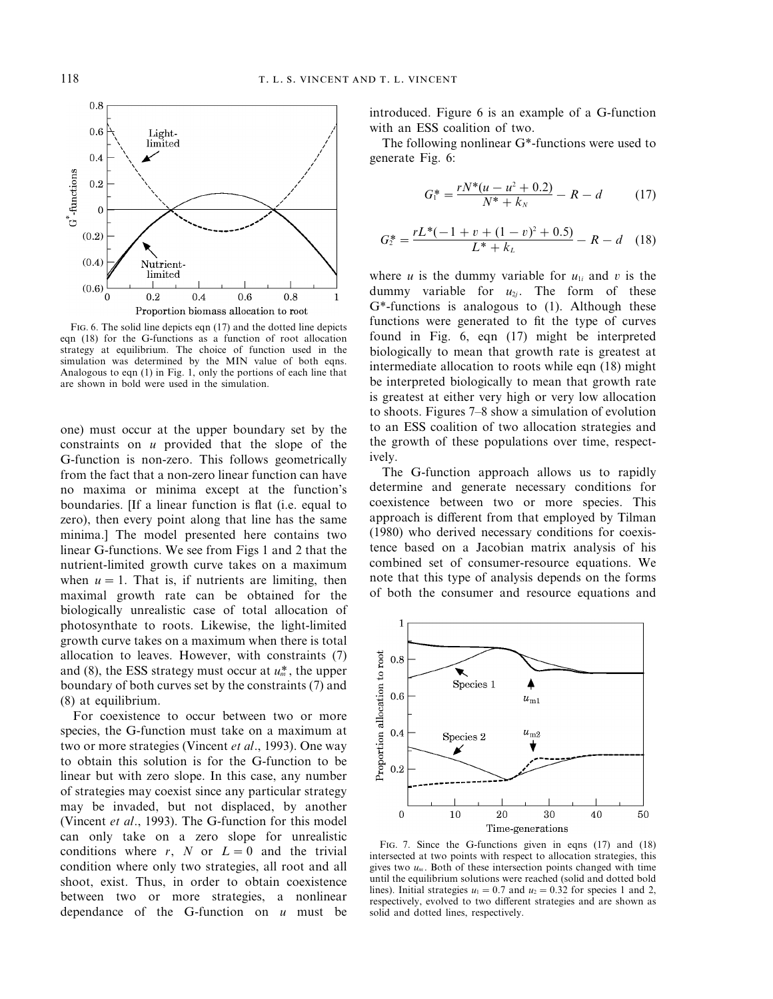

FIG. 6. The solid line depicts eqn (17) and the dotted line depicts eqn (18) for the G-functions as a function of root allocation strategy at equilibrium. The choice of function used in the simulation was determined by the MIN value of both eqns. Analogous to eqn (1) in Fig. 1, only the portions of each line that are shown in bold were used in the simulation.

one) must occur at the upper boundary set by the constraints on *u* provided that the slope of the G-function is non-zero. This follows geometrically from the fact that a non-zero linear function can have no maxima or minima except at the function's boundaries. [If a linear function is flat (i.e. equal to zero), then every point along that line has the same minima.] The model presented here contains two linear G-functions. We see from Figs 1 and 2 that the nutrient-limited growth curve takes on a maximum when  $u=1$ . That is, if nutrients are limiting, then maximal growth rate can be obtained for the biologically unrealistic case of total allocation of photosynthate to roots. Likewise, the light-limited growth curve takes on a maximum when there is total allocation to leaves. However, with constraints (7) and (8), the ESS strategy must occur at  $u_m^*$ , the upper boundary of both curves set by the constraints (7) and (8) at equilibrium.

For coexistence to occur between two or more species, the G-function must take on a maximum at two or more strategies (Vincent *et al*., 1993). One way to obtain this solution is for the G-function to be linear but with zero slope. In this case, any number of strategies may coexist since any particular strategy may be invaded, but not displaced, by another (Vincent *et al*., 1993). The G-function for this model can only take on a zero slope for unrealistic conditions where  $r$ ,  $N$  or  $L = 0$  and the trivial condition where only two strategies, all root and all shoot, exist. Thus, in order to obtain coexistence between two or more strategies, a nonlinear dependance of the G-function on *u* must be

introduced. Figure 6 is an example of a G-function with an ESS coalition of two.

The following nonlinear G\*-functions were used to generate Fig. 6:

$$
G_1^* = \frac{rN^*(u - u^2 + 0.2)}{N^* + k_N} - R - d \tag{17}
$$

$$
G_2^* = \frac{rL^*(-1+v+(1-v)^2+0.5)}{L^*+k_L} - R - d \quad (18)
$$

where *u* is the dummy variable for  $u_{1i}$  and *v* is the dummy variable for  $u_{2j}$ . The form of these G\*-functions is analogous to (1). Although these functions were generated to fit the type of curves found in Fig. 6, eqn (17) might be interpreted biologically to mean that growth rate is greatest at intermediate allocation to roots while eqn (18) might be interpreted biologically to mean that growth rate is greatest at either very high or very low allocation to shoots. Figures 7–8 show a simulation of evolution to an ESS coalition of two allocation strategies and the growth of these populations over time, respectively.

The G-function approach allows us to rapidly determine and generate necessary conditions for coexistence between two or more species. This approach is different from that employed by Tilman (1980) who derived necessary conditions for coexistence based on a Jacobian matrix analysis of his combined set of consumer-resource equations. We note that this type of analysis depends on the forms of both the consumer and resource equations and



FIG. 7. Since the G-functions given in eqns (17) and (18) intersected at two points with respect to allocation strategies, this gives two  $u_m$ . Both of these intersection points changed with time until the equilibrium solutions were reached (solid and dotted bold lines). Initial strategies  $u_1 = 0.7$  and  $u_2 = 0.32$  for species 1 and 2, respectively, evolved to two different strategies and are shown as solid and dotted lines, respectively.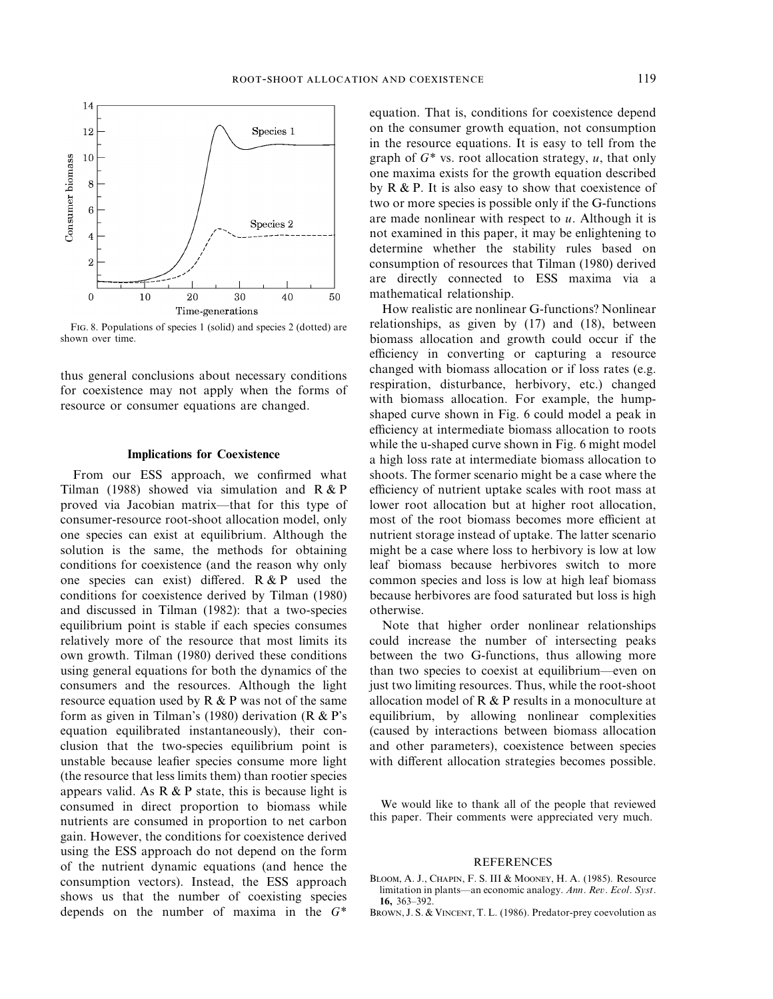

FIG. 8. Populations of species 1 (solid) and species 2 (dotted) are shown over time.

thus general conclusions about necessary conditions for coexistence may not apply when the forms of resource or consumer equations are changed.

## Implications for Coexistence

From our ESS approach, we confirmed what Tilman (1988) showed via simulation and R & P proved via Jacobian matrix—that for this type of consumer-resource root-shoot allocation model, only one species can exist at equilibrium. Although the solution is the same, the methods for obtaining conditions for coexistence (and the reason why only one species can exist) differed. R & P used the conditions for coexistence derived by Tilman (1980) and discussed in Tilman (1982): that a two-species equilibrium point is stable if each species consumes relatively more of the resource that most limits its own growth. Tilman (1980) derived these conditions using general equations for both the dynamics of the consumers and the resources. Although the light resource equation used by  $R & P$  was not of the same form as given in Tilman's (1980) derivation (R & P's equation equilibrated instantaneously), their conclusion that the two-species equilibrium point is unstable because leafier species consume more light (the resource that less limits them) than rootier species appears valid. As  $R \& P$  state, this is because light is consumed in direct proportion to biomass while nutrients are consumed in proportion to net carbon gain. However, the conditions for coexistence derived using the ESS approach do not depend on the form of the nutrient dynamic equations (and hence the consumption vectors). Instead, the ESS approach shows us that the number of coexisting species depends on the number of maxima in the *G*\*

equation. That is, conditions for coexistence depend on the consumer growth equation, not consumption in the resource equations. It is easy to tell from the graph of *G*\* vs. root allocation strategy, *u*, that only one maxima exists for the growth equation described by  $R \& P$ . It is also easy to show that coexistence of two or more species is possible only if the G-functions are made nonlinear with respect to *u*. Although it is not examined in this paper, it may be enlightening to determine whether the stability rules based on consumption of resources that Tilman (1980) derived are directly connected to ESS maxima via a mathematical relationship.

How realistic are nonlinear G-functions? Nonlinear relationships, as given by (17) and (18), between biomass allocation and growth could occur if the efficiency in converting or capturing a resource changed with biomass allocation or if loss rates (e.g. respiration, disturbance, herbivory, etc.) changed with biomass allocation. For example, the humpshaped curve shown in Fig. 6 could model a peak in efficiency at intermediate biomass allocation to roots while the u-shaped curve shown in Fig. 6 might model a high loss rate at intermediate biomass allocation to shoots. The former scenario might be a case where the efficiency of nutrient uptake scales with root mass at lower root allocation but at higher root allocation, most of the root biomass becomes more efficient at nutrient storage instead of uptake. The latter scenario might be a case where loss to herbivory is low at low leaf biomass because herbivores switch to more common species and loss is low at high leaf biomass because herbivores are food saturated but loss is high otherwise.

Note that higher order nonlinear relationships could increase the number of intersecting peaks between the two G-functions, thus allowing more than two species to coexist at equilibrium—even on just two limiting resources. Thus, while the root-shoot allocation model of R & P results in a monoculture at equilibrium, by allowing nonlinear complexities (caused by interactions between biomass allocation and other parameters), coexistence between species with different allocation strategies becomes possible.

We would like to thank all of the people that reviewed this paper. Their comments were appreciated very much.

#### REFERENCES

- BLOOM, A. J., CHAPIN, F. S. III & MOONEY, H. A. (1985). Resource limitation in plants—an economic analogy. *Ann*. *Rev*. *Ecol*. *Syst*. 16, 363–392.
- BROWN, J. S. & VINCENT, T. L. (1986). Predator-prey coevolution as